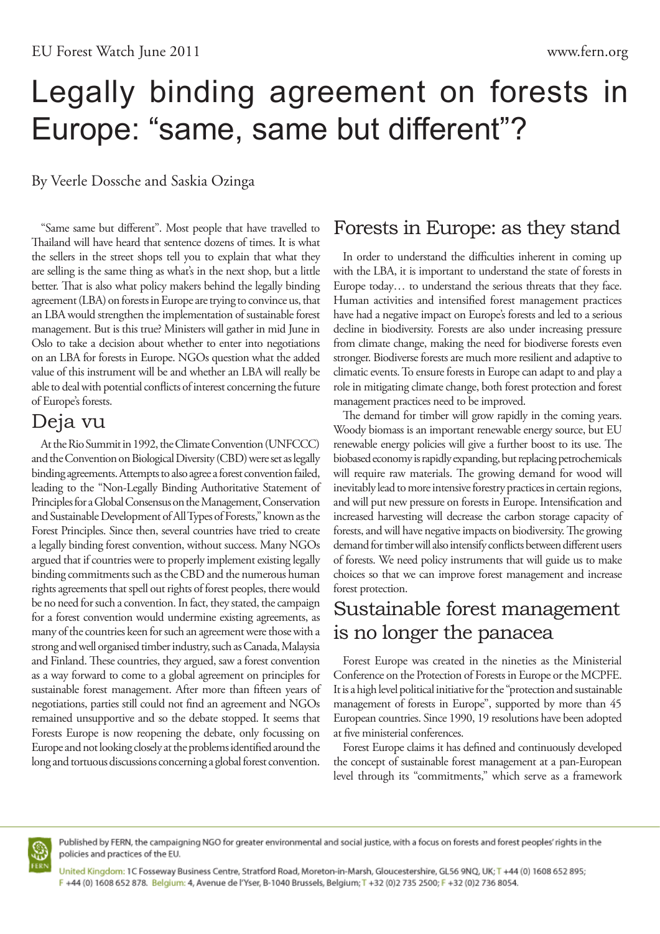# Legally binding agreement on forests in Europe: "same, same but different"?

By Veerle Dossche and Saskia Ozinga

"Same same but different". Most people that have travelled to Thailand will have heard that sentence dozens of times. It is what the sellers in the street shops tell you to explain that what they are selling is the same thing as what's in the next shop, but a little better. That is also what policy makers behind the legally binding agreement (LBA) on forests in Europe are trying to convince us, that an LBA would strengthen the implementation of sustainable forest management. But is this true? Ministers will gather in mid June in Oslo to take a decision about whether to enter into negotiations on an LBA for forests in Europe. NGOs question what the added value of this instrument will be and whether an LBA will really be able to deal with potential conflicts of interest concerning the future of Europe's forests.

#### Deja vu

At the Rio Summit in 1992, the Climate Convention (UNFCCC) and the Convention on Biological Diversity (CBD) were set as legally binding agreements. Attempts to also agree a forest convention failed, leading to the "Non-Legally Binding Authoritative Statement of Principles for a Global Consensus on the Management, Conservation and Sustainable Development of All Types of Forests," known as the Forest Principles. Since then, several countries have tried to create a legally binding forest convention, without success. Many NGOs argued that if countries were to properly implement existing legally binding commitments such as the CBD and the numerous human rights agreements that spell out rights of forest peoples, there would be no need for such a convention. In fact, they stated, the campaign for a forest convention would undermine existing agreements, as many of the countries keen for such an agreement were those with a strong and well organised timber industry, such as Canada, Malaysia and Finland. These countries, they argued, saw a forest convention as a way forward to come to a global agreement on principles for sustainable forest management. After more than fifteen years of negotiations, parties still could not find an agreement and NGOs remained unsupportive and so the debate stopped. It seems that Forests Europe is now reopening the debate, only focussing on Europe and not looking closely at the problems identified around the long and tortuous discussions concerning a global forest convention.

# Forests in Europe: as they stand

In order to understand the difficulties inherent in coming up with the LBA, it is important to understand the state of forests in Europe today… to understand the serious threats that they face. Human activities and intensified forest management practices have had a negative impact on Europe's forests and led to a serious decline in biodiversity. Forests are also under increasing pressure from climate change, making the need for biodiverse forests even stronger. Biodiverse forests are much more resilient and adaptive to climatic events. To ensure forests in Europe can adapt to and play a role in mitigating climate change, both forest protection and forest management practices need to be improved.

The demand for timber will grow rapidly in the coming years. Woody biomass is an important renewable energy source, but EU renewable energy policies will give a further boost to its use. The biobased economy is rapidly expanding, but replacing petrochemicals will require raw materials. The growing demand for wood will inevitably lead to more intensive forestry practices in certain regions, and will put new pressure on forests in Europe. Intensification and increased harvesting will decrease the carbon storage capacity of forests, and will have negative impacts on biodiversity. The growing demand for timber will also intensify conflicts between different users of forests. We need policy instruments that will guide us to make choices so that we can improve forest management and increase forest protection.

## Sustainable forest management is no longer the panacea

Forest Europe was created in the nineties as the Ministerial Conference on the Protection of Forests in Europe or the MCPFE. It is a high level political initiative for the "protection and sustainable management of forests in Europe", supported by more than 45 European countries. Since 1990, 19 resolutions have been adopted at five ministerial conferences.

Forest Europe claims it has defined and continuously developed the concept of sustainable forest management at a pan-European level through its "commitments," which serve as a framework



Published by FERN, the campaigning NGO for greater environmental and social justice, with a focus on forests and forest peoples' rights in the policies and practices of the EU.

United Kingdom: 1C Fosseway Business Centre, Stratford Road, Moreton-in-Marsh, Gloucestershire, GL56 9NQ, UK; T +44 (0) 1608 652 895; F +44 (0) 1608 652 878. Belgium: 4, Avenue de l'Yser, B-1040 Brussels, Belgium; T +32 (0)2 735 2500; F +32 (0)2 736 8054.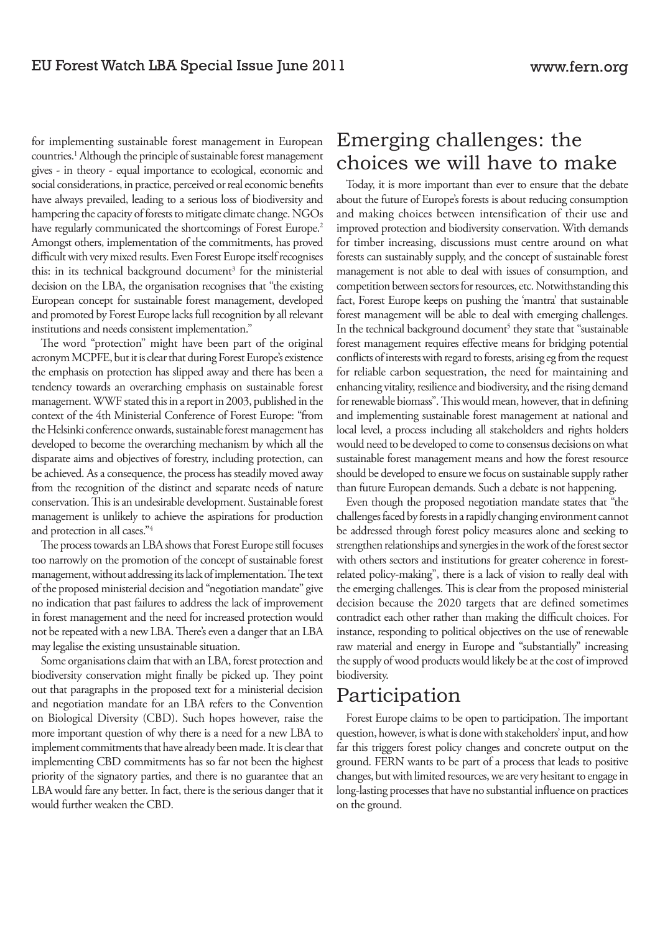for implementing sustainable forest management in European countries.<sup>1</sup> Although the principle of sustainable forest management gives - in theory - equal importance to ecological, economic and social considerations, in practice, perceived or real economic benefits have always prevailed, leading to a serious loss of biodiversity and hampering the capacity of forests to mitigate climate change. NGOs have regularly communicated the shortcomings of Forest Europe.<sup>2</sup> Amongst others, implementation of the commitments, has proved difficult with very mixed results. Even Forest Europe itself recognises this: in its technical background document<sup>3</sup> for the ministerial decision on the LBA, the organisation recognises that "the existing European concept for sustainable forest management, developed and promoted by Forest Europe lacks full recognition by all relevant institutions and needs consistent implementation."

The word "protection" might have been part of the original acronym MCPFE, but it is clear that during Forest Europe's existence the emphasis on protection has slipped away and there has been a tendency towards an overarching emphasis on sustainable forest management. WWF stated this in a report in 2003, published in the context of the 4th Ministerial Conference of Forest Europe: "from the Helsinki conference onwards, sustainable forest management has developed to become the overarching mechanism by which all the disparate aims and objectives of forestry, including protection, can be achieved. As a consequence, the process has steadily moved away from the recognition of the distinct and separate needs of nature conservation. This is an undesirable development. Sustainable forest management is unlikely to achieve the aspirations for production and protection in all cases."4

The process towards an LBA shows that Forest Europe still focuses too narrowly on the promotion of the concept of sustainable forest management, without addressing its lack of implementation. The text of the proposed ministerial decision and "negotiation mandate" give no indication that past failures to address the lack of improvement in forest management and the need for increased protection would not be repeated with a new LBA. There's even a danger that an LBA may legalise the existing unsustainable situation.

Some organisations claim that with an LBA, forest protection and biodiversity conservation might finally be picked up. They point out that paragraphs in the proposed text for a ministerial decision and negotiation mandate for an LBA refers to the Convention on Biological Diversity (CBD). Such hopes however, raise the more important question of why there is a need for a new LBA to implement commitments that have already been made. It is clear that implementing CBD commitments has so far not been the highest priority of the signatory parties, and there is no guarantee that an LBA would fare any better. In fact, there is the serious danger that it would further weaken the CBD.

#### Emerging challenges: the choices we will have to make

Today, it is more important than ever to ensure that the debate about the future of Europe's forests is about reducing consumption and making choices between intensification of their use and improved protection and biodiversity conservation. With demands for timber increasing, discussions must centre around on what forests can sustainably supply, and the concept of sustainable forest management is not able to deal with issues of consumption, and competition between sectors for resources, etc. Notwithstanding this fact, Forest Europe keeps on pushing the 'mantra' that sustainable forest management will be able to deal with emerging challenges. In the technical background document<sup>5</sup> they state that "sustainable forest management requires effective means for bridging potential conflicts of interests with regard to forests, arising eg from the request for reliable carbon sequestration, the need for maintaining and enhancing vitality, resilience and biodiversity, and the rising demand for renewable biomass". This would mean, however, that in defining and implementing sustainable forest management at national and local level, a process including all stakeholders and rights holders would need to be developed to come to consensus decisions on what sustainable forest management means and how the forest resource should be developed to ensure we focus on sustainable supply rather than future European demands. Such a debate is not happening.

Even though the proposed negotiation mandate states that "the challenges faced by forests in a rapidly changing environment cannot be addressed through forest policy measures alone and seeking to strengthen relationships and synergies in the work of the forest sector with others sectors and institutions for greater coherence in forestrelated policy-making", there is a lack of vision to really deal with the emerging challenges. This is clear from the proposed ministerial decision because the 2020 targets that are defined sometimes contradict each other rather than making the difficult choices. For instance, responding to political objectives on the use of renewable raw material and energy in Europe and "substantially" increasing the supply of wood products would likely be at the cost of improved biodiversity.

### Participation

Forest Europe claims to be open to participation. The important question, however, is what is done with stakeholders' input, and how far this triggers forest policy changes and concrete output on the ground. FERN wants to be part of a process that leads to positive changes, but with limited resources, we are very hesitant to engage in long-lasting processes that have no substantial influence on practices on the ground.